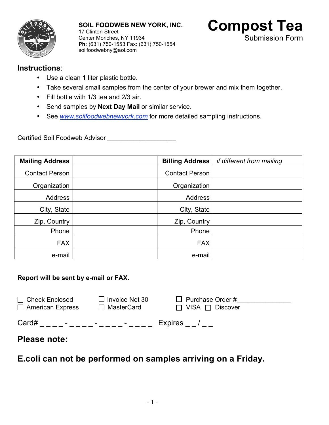

**SOIL FOODWEB NEW YORK, INC.** 17 Clinton Street Center Moriches, NY 11934 **Ph:** (631) 750-1553 Fax: (631) 750-1554 soilfoodwebny@aol.com



## **Instructions**:

- Use a clean 1 liter plastic bottle.
- Take several small samples from the center of your brewer and mix them together.
- Fill bottle with 1/3 tea and 2/3 air.
- Send samples by **Next Day Mail** or similar service.
- See *www.soilfoodwebnewyork.com* for more detailed sampling instructions.

Certified Soil Foodweb Advisor \_\_\_\_\_\_\_\_\_\_\_\_\_\_\_\_\_\_\_\_\_\_\_

| <b>Mailing Address</b> |  | <b>Billing Address</b> | if different from mailing |
|------------------------|--|------------------------|---------------------------|
| <b>Contact Person</b>  |  | <b>Contact Person</b>  |                           |
| Organization           |  | Organization           |                           |
| Address                |  | <b>Address</b>         |                           |
| City, State            |  | City, State            |                           |
| Zip, Country           |  | Zip, Country           |                           |
| Phone                  |  | Phone                  |                           |
| <b>FAX</b>             |  | <b>FAX</b>             |                           |
| e-mail                 |  | e-mail                 |                           |

## **Report will be sent by e-mail or FAX.**

| $\Box$ Check Enclosed                       | $\Box$ Invoice Net 30 | $\Box$ Purchase Order #     |  |
|---------------------------------------------|-----------------------|-----------------------------|--|
| $\Box$ American Express                     | □ MasterCard          | $\Box$ VISA $\Box$ Discover |  |
| Card#<br>$\sim$<br>$\overline{\phantom{a}}$ | $\sim$                | Expires /                   |  |

## **Please note:**

**E.coli can not be performed on samples arriving on a Friday.**